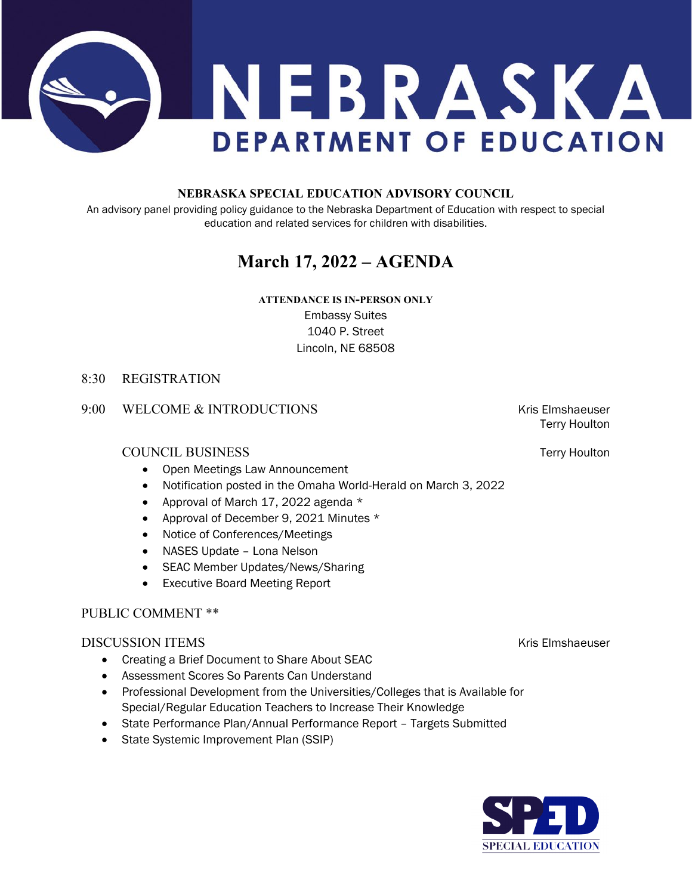

### **NEBRASKA SPECIAL EDUCATION ADVISORY COUNCIL**

An advisory panel providing policy guidance to the Nebraska Department of Education with respect to special education and related services for children with disabilities.

# **March 17, 2022 – AGENDA**

## **ATTENDANCE IS IN-PERSON ONLY** Embassy Suites 1040 P. Street Lincoln, NE 68508

### 8:30 REGISTRATION

### 9:00 WELCOME & INTRODUCTIONS THE RESERVE RESERVE THAT RESERVE THE RESERVE RESERVE THAT A RESERVE THAT A RESERVE THAT A RESERVE THAT A RESERVE THAT A RESERVE THAT A RESERVE THAT A RESERVE THAT A RESERVE THAT A RESERVE THAT

### COUNCIL BUSINESS Terry Houlton

- Open Meetings Law Announcement
- Notification posted in the Omaha World-Herald on March 3, 2022
- Approval of March 17, 2022 agenda \*
- Approval of December 9, 2021 Minutes \*
- Notice of Conferences/Meetings
- NASES Update Lona Nelson
- SEAC Member Updates/News/Sharing
- Executive Board Meeting Report

### PUBLIC COMMENT \*\*

### **DISCUSSION ITEMS Kris Elmshaeuser** Kris Elmshaeuser

- Creating a Brief Document to Share About SEAC
- Assessment Scores So Parents Can Understand
- Professional Development from the Universities/Colleges that is Available for Special/Regular Education Teachers to Increase Their Knowledge
- State Performance Plan/Annual Performance Report Targets Submitted
- State Systemic Improvement Plan (SSIP)

Terry Houlton

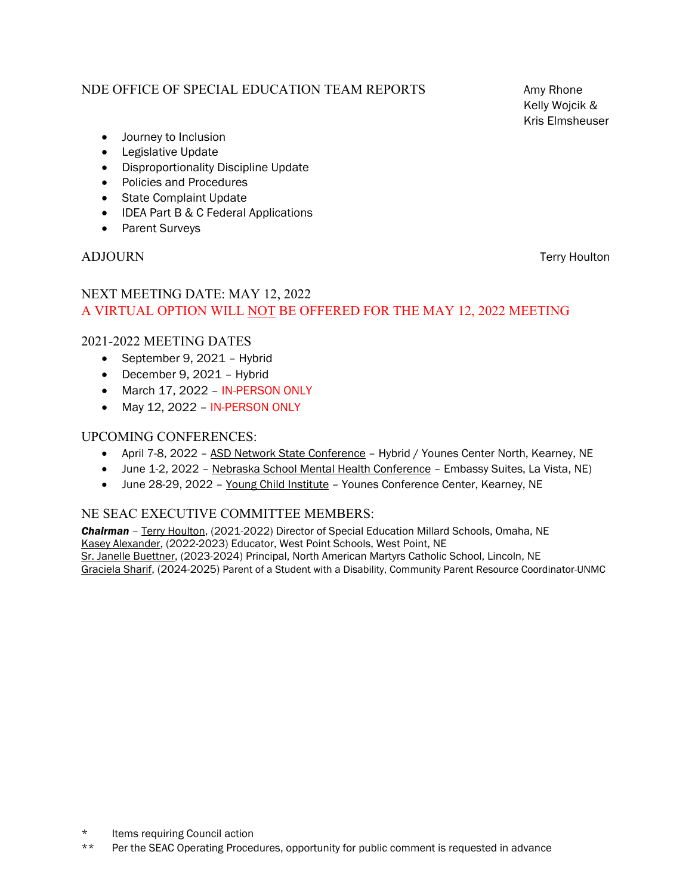### NDE OFFICE OF SPECIAL EDUCATION TEAM REPORTS Amy Rhone

Kelly Wojcik & Kris Elmsheuser

- Journey to Inclusion
- Legislative Update
- Disproportionality Discipline Update
- Policies and Procedures
- State Complaint Update
- IDEA Part B & C Federal Applications
- Parent Surveys

### ADJOURN Terry Houlton

# NEXT MEETING DATE: MAY 12, 2022 A VIRTUAL OPTION WILL NOT BE OFFERED FOR THE MAY 12, 2022 MEETING

### 2021-2022 MEETING DATES

- September 9, 2021 Hybrid
- December 9, 2021 Hybrid
- March 17, 2022 IN-PERSON ONLY
- May 12, 2022 IN-PERSON ONLY

### UPCOMING CONFERENCES:

- April 7-8, 2022 ASD Network State Conference Hybrid / Younes Center North, Kearney, NE
- June 1-2, 2022 Nebraska School Mental Health Conference Embassy Suites, La Vista, NE)
- June 28-29, 2022 Young Child Institute Younes Conference Center, Kearney, NE

### NE SEAC EXECUTIVE COMMITTEE MEMBERS:

*Chairman* – Terry Houlton, (2021-2022) Director of Special Education Millard Schools, Omaha, NE Kasey Alexander, (2022-2023) Educator, West Point Schools, West Point, NE Sr. Janelle Buettner, (2023-2024) Principal, North American Martyrs Catholic School, Lincoln, NE Graciela Sharif, (2024-2025) Parent of a Student with a Disability, Community Parent Resource Coordinator-UNMC

\*\* Per the SEAC Operating Procedures, opportunity for public comment is requested in advance

<sup>\*</sup> Items requiring Council action